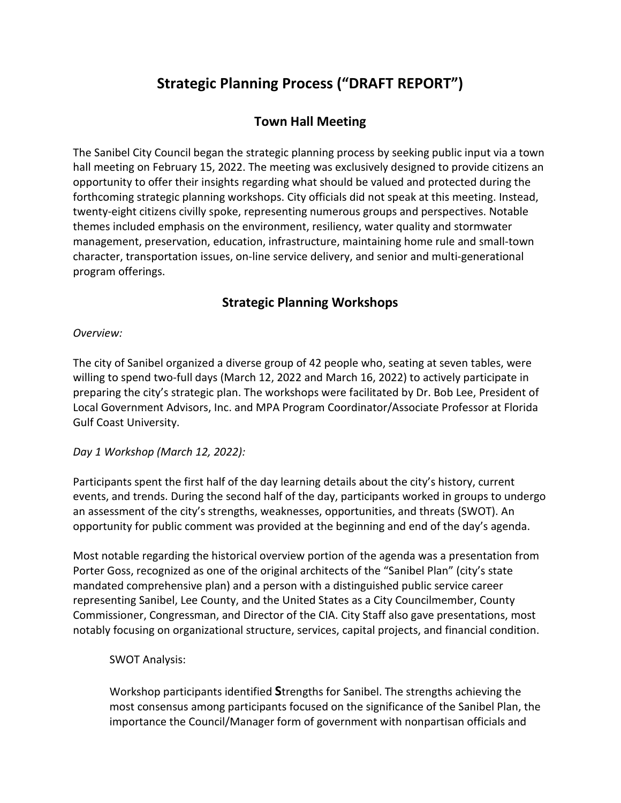# **Strategic Planning Process ("DRAFT REPORT")**

# **Town Hall Meeting**

The Sanibel City Council began the strategic planning process by seeking public input via a town hall meeting on February 15, 2022. The meeting was exclusively designed to provide citizens an opportunity to offer their insights regarding what should be valued and protected during the forthcoming strategic planning workshops. City officials did not speak at this meeting. Instead, twenty-eight citizens civilly spoke, representing numerous groups and perspectives. Notable themes included emphasis on the environment, resiliency, water quality and stormwater management, preservation, education, infrastructure, maintaining home rule and small-town character, transportation issues, on-line service delivery, and senior and multi-generational program offerings.

# **Strategic Planning Workshops**

#### *Overview:*

The city of Sanibel organized a diverse group of 42 people who, seating at seven tables, were willing to spend two-full days (March 12, 2022 and March 16, 2022) to actively participate in preparing the city's strategic plan. The workshops were facilitated by Dr. Bob Lee, President of Local Government Advisors, Inc. and MPA Program Coordinator/Associate Professor at Florida Gulf Coast University.

#### *Day 1 Workshop (March 12, 2022):*

Participants spent the first half of the day learning details about the city's history, current events, and trends. During the second half of the day, participants worked in groups to undergo an assessment of the city's strengths, weaknesses, opportunities, and threats (SWOT). An opportunity for public comment was provided at the beginning and end of the day's agenda.

Most notable regarding the historical overview portion of the agenda was a presentation from Porter Goss, recognized as one of the original architects of the "Sanibel Plan" (city's state mandated comprehensive plan) and a person with a distinguished public service career representing Sanibel, Lee County, and the United States as a City Councilmember, County Commissioner, Congressman, and Director of the CIA. City Staff also gave presentations, most notably focusing on organizational structure, services, capital projects, and financial condition.

#### SWOT Analysis:

Workshop participants identified **S**trengths for Sanibel. The strengths achieving the most consensus among participants focused on the significance of the Sanibel Plan, the importance the Council/Manager form of government with nonpartisan officials and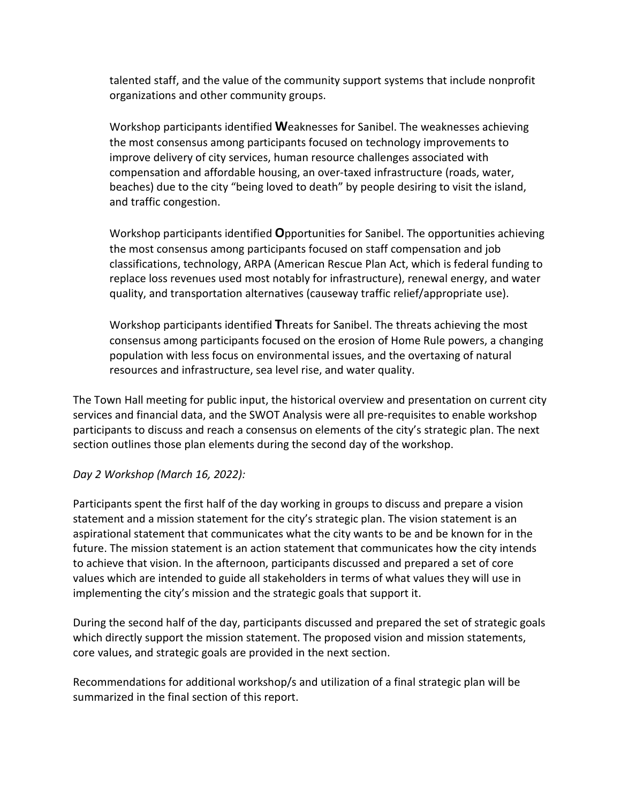talented staff, and the value of the community support systems that include nonprofit organizations and other community groups.

Workshop participants identified **W**eaknesses for Sanibel. The weaknesses achieving the most consensus among participants focused on technology improvements to improve delivery of city services, human resource challenges associated with compensation and affordable housing, an over-taxed infrastructure (roads, water, beaches) due to the city "being loved to death" by people desiring to visit the island, and traffic congestion.

Workshop participants identified **O**pportunities for Sanibel. The opportunities achieving the most consensus among participants focused on staff compensation and job classifications, technology, ARPA (American Rescue Plan Act, which is federal funding to replace loss revenues used most notably for infrastructure), renewal energy, and water quality, and transportation alternatives (causeway traffic relief/appropriate use).

Workshop participants identified **T**hreats for Sanibel. The threats achieving the most consensus among participants focused on the erosion of Home Rule powers, a changing population with less focus on environmental issues, and the overtaxing of natural resources and infrastructure, sea level rise, and water quality.

The Town Hall meeting for public input, the historical overview and presentation on current city services and financial data, and the SWOT Analysis were all pre-requisites to enable workshop participants to discuss and reach a consensus on elements of the city's strategic plan. The next section outlines those plan elements during the second day of the workshop.

#### *Day 2 Workshop (March 16, 2022):*

Participants spent the first half of the day working in groups to discuss and prepare a vision statement and a mission statement for the city's strategic plan. The vision statement is an aspirational statement that communicates what the city wants to be and be known for in the future. The mission statement is an action statement that communicates how the city intends to achieve that vision. In the afternoon, participants discussed and prepared a set of core values which are intended to guide all stakeholders in terms of what values they will use in implementing the city's mission and the strategic goals that support it.

During the second half of the day, participants discussed and prepared the set of strategic goals which directly support the mission statement. The proposed vision and mission statements, core values, and strategic goals are provided in the next section.

Recommendations for additional workshop/s and utilization of a final strategic plan will be summarized in the final section of this report.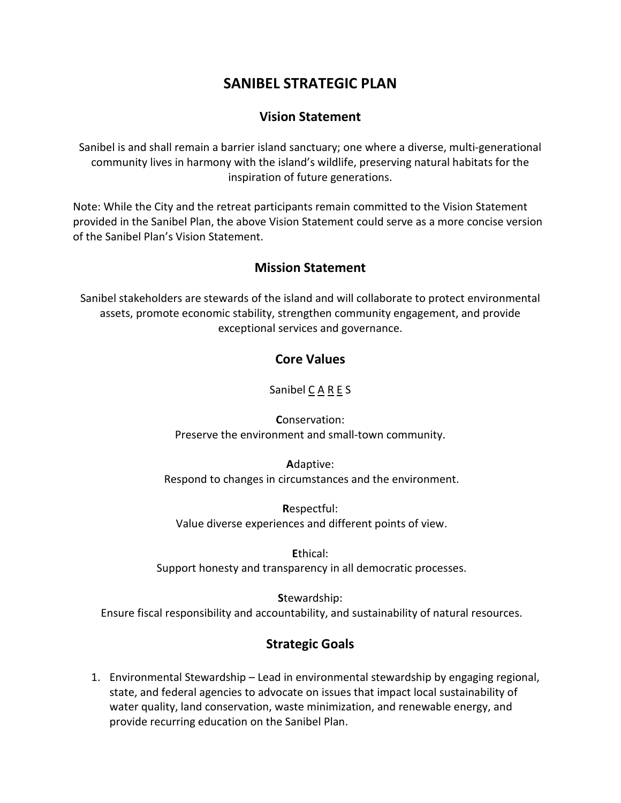# **SANIBEL STRATEGIC PLAN**

### **Vision Statement**

Sanibel is and shall remain a barrier island sanctuary; one where a diverse, multi-generational community lives in harmony with the island's wildlife, preserving natural habitats for the inspiration of future generations.

Note: While the City and the retreat participants remain committed to the Vision Statement provided in the Sanibel Plan, the above Vision Statement could serve as a more concise version of the Sanibel Plan's Vision Statement.

## **Mission Statement**

Sanibel stakeholders are stewards of the island and will collaborate to protect environmental assets, promote economic stability, strengthen community engagement, and provide exceptional services and governance.

## **Core Values**

Sanibel C A R E S

**C**onservation: Preserve the environment and small-town community.

**A**daptive: Respond to changes in circumstances and the environment.

**R**espectful: Value diverse experiences and different points of view.

**E**thical: Support honesty and transparency in all democratic processes.

**S**tewardship: Ensure fiscal responsibility and accountability, and sustainability of natural resources.

# **Strategic Goals**

1. Environmental Stewardship – Lead in environmental stewardship by engaging regional, state, and federal agencies to advocate on issues that impact local sustainability of water quality, land conservation, waste minimization, and renewable energy, and provide recurring education on the Sanibel Plan.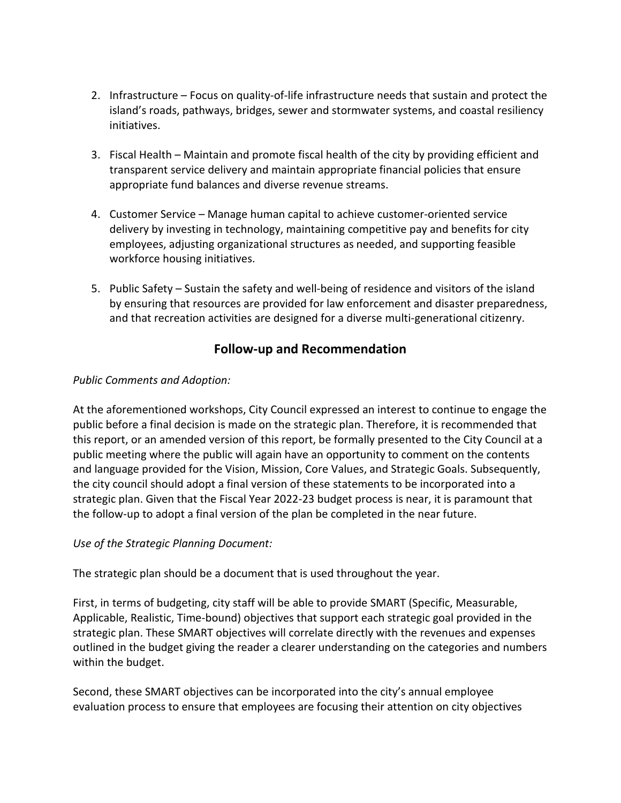- 2. Infrastructure Focus on quality-of-life infrastructure needs that sustain and protect the island's roads, pathways, bridges, sewer and stormwater systems, and coastal resiliency initiatives.
- 3. Fiscal Health Maintain and promote fiscal health of the city by providing efficient and transparent service delivery and maintain appropriate financial policies that ensure appropriate fund balances and diverse revenue streams.
- 4. Customer Service Manage human capital to achieve customer-oriented service delivery by investing in technology, maintaining competitive pay and benefits for city employees, adjusting organizational structures as needed, and supporting feasible workforce housing initiatives.
- 5. Public Safety Sustain the safety and well-being of residence and visitors of the island by ensuring that resources are provided for law enforcement and disaster preparedness, and that recreation activities are designed for a diverse multi-generational citizenry.

## **Follow-up and Recommendation**

#### *Public Comments and Adoption:*

At the aforementioned workshops, City Council expressed an interest to continue to engage the public before a final decision is made on the strategic plan. Therefore, it is recommended that this report, or an amended version of this report, be formally presented to the City Council at a public meeting where the public will again have an opportunity to comment on the contents and language provided for the Vision, Mission, Core Values, and Strategic Goals. Subsequently, the city council should adopt a final version of these statements to be incorporated into a strategic plan. Given that the Fiscal Year 2022-23 budget process is near, it is paramount that the follow-up to adopt a final version of the plan be completed in the near future.

#### *Use of the Strategic Planning Document:*

The strategic plan should be a document that is used throughout the year.

First, in terms of budgeting, city staff will be able to provide SMART (Specific, Measurable, Applicable, Realistic, Time-bound) objectives that support each strategic goal provided in the strategic plan. These SMART objectives will correlate directly with the revenues and expenses outlined in the budget giving the reader a clearer understanding on the categories and numbers within the budget.

Second, these SMART objectives can be incorporated into the city's annual employee evaluation process to ensure that employees are focusing their attention on city objectives